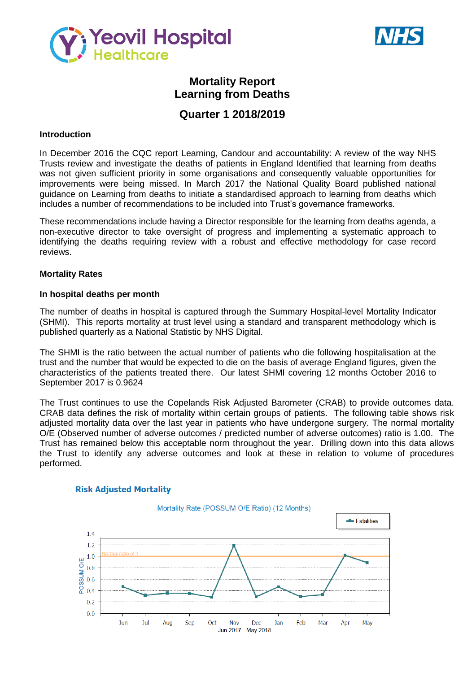



# **Mortality Report Learning from Deaths**

# **Quarter 1 2018/2019**

### **Introduction**

In December 2016 the CQC report Learning, Candour and accountability: A review of the way NHS Trusts review and investigate the deaths of patients in England Identified that learning from deaths was not given sufficient priority in some organisations and consequently valuable opportunities for improvements were being missed. In March 2017 the National Quality Board published national guidance on Learning from deaths to initiate a standardised approach to learning from deaths which includes a number of recommendations to be included into Trust's governance frameworks.

These recommendations include having a Director responsible for the learning from deaths agenda, a non-executive director to take oversight of progress and implementing a systematic approach to identifying the deaths requiring review with a robust and effective methodology for case record reviews.

#### **Mortality Rates**

#### **In hospital deaths per month**

The number of deaths in hospital is captured through the Summary Hospital-level Mortality Indicator (SHMI). This reports mortality at trust level using a standard and transparent methodology which is published quarterly as a National Statistic by NHS Digital.

The SHMI is the ratio between the actual number of patients who die following hospitalisation at the trust and the number that would be expected to die on the basis of average England figures, given the characteristics of the patients treated there. Our latest SHMI covering 12 months October 2016 to September 2017 is 0.9624

The Trust continues to use the Copelands Risk Adjusted Barometer (CRAB) to provide outcomes data. CRAB data defines the risk of mortality within certain groups of patients. The following table shows risk adjusted mortality data over the last year in patients who have undergone surgery. The normal mortality O/E (Observed number of adverse outcomes / predicted number of adverse outcomes) ratio is 1.00. The Trust has remained below this acceptable norm throughout the year. Drilling down into this data allows the Trust to identify any adverse outcomes and look at these in relation to volume of procedures performed.



#### **Risk Adjusted Mortality**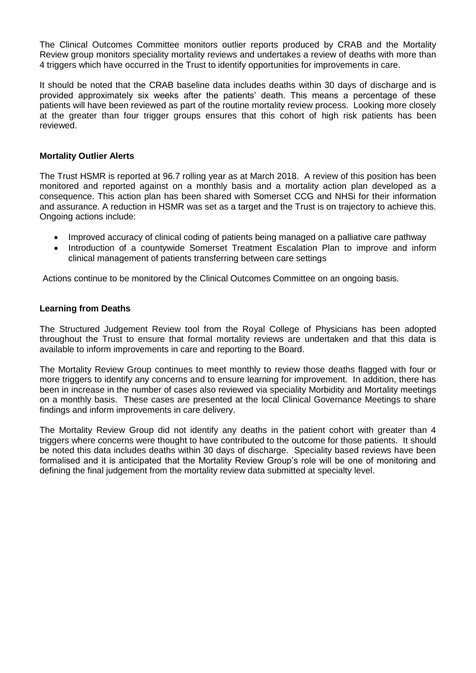The Clinical Outcomes Committee monitors outlier reports produced by CRAB and the Mortality Review group monitors speciality mortality reviews and undertakes a review of deaths with more than 4 triggers which have occurred in the Trust to identify opportunities for improvements in care.

It should be noted that the CRAB baseline data includes deaths within 30 days of discharge and is provided approximately six weeks after the patients' death. This means a percentage of these patients will have been reviewed as part of the routine mortality review process. Looking more closely at the greater than four trigger groups ensures that this cohort of high risk patients has been reviewed.

### **Mortality Outlier Alerts**

The Trust HSMR is reported at 96.7 rolling year as at March 2018. A review of this position has been monitored and reported against on a monthly basis and a mortality action plan developed as a consequence. This action plan has been shared with Somerset CCG and NHSi for their information and assurance. A reduction in HSMR was set as a target and the Trust is on trajectory to achieve this. Ongoing actions include:

- Improved accuracy of clinical coding of patients being managed on a palliative care pathway
- Introduction of a countywide Somerset Treatment Escalation Plan to improve and inform clinical management of patients transferring between care settings

Actions continue to be monitored by the Clinical Outcomes Committee on an ongoing basis.

## **Learning from Deaths**

The Structured Judgement Review tool from the Royal College of Physicians has been adopted throughout the Trust to ensure that formal mortality reviews are undertaken and that this data is available to inform improvements in care and reporting to the Board.

The Mortality Review Group continues to meet monthly to review those deaths flagged with four or more triggers to identify any concerns and to ensure learning for improvement. In addition, there has been in increase in the number of cases also reviewed via speciality Morbidity and Mortality meetings on a monthly basis. These cases are presented at the local Clinical Governance Meetings to share findings and inform improvements in care delivery.

The Mortality Review Group did not identify any deaths in the patient cohort with greater than 4 triggers where concerns were thought to have contributed to the outcome for those patients. It should be noted this data includes deaths within 30 days of discharge. Speciality based reviews have been formalised and it is anticipated that the Mortality Review Group's role will be one of monitoring and defining the final judgement from the mortality review data submitted at specialty level.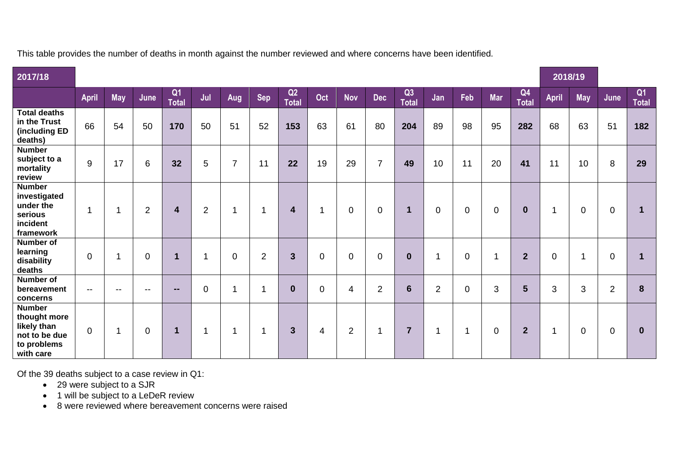This table provides the number of deaths in month against the number reviewed and where concerns have been identified.

| 2017/18                                                                                   |                          |                |                |                                |                |                |                |                    |                |                |                |                    |                         |                |             | 2018/19            |              |                |                |                    |
|-------------------------------------------------------------------------------------------|--------------------------|----------------|----------------|--------------------------------|----------------|----------------|----------------|--------------------|----------------|----------------|----------------|--------------------|-------------------------|----------------|-------------|--------------------|--------------|----------------|----------------|--------------------|
|                                                                                           | <b>April</b>             | <b>May</b>     | June           | Q <sub>1</sub><br><b>Total</b> | Jul            | Aug            | <b>Sep</b>     | Q2<br><b>Total</b> | Oct            | <b>Nov</b>     | <b>Dec</b>     | Q3<br><b>Total</b> | Jan                     | Feb            | <b>Mar</b>  | Q4<br><b>Total</b> | <b>April</b> | <b>May</b>     | June           | Q1<br><b>Total</b> |
| <b>Total deaths</b><br>in the Trust<br>(including ED<br>deaths)                           | 66                       | 54             | 50             | 170                            | 50             | 51             | 52             | 153                | 63             | 61             | 80             | 204                | 89                      | 98             | 95          | 282                | 68           | 63             | 51             | 182                |
| <b>Number</b><br>subject to a<br>mortality<br>review                                      | 9                        | 17             | 6              | 32                             | 5              | $\overline{7}$ | 11             | 22                 | 19             | 29             | $\overline{7}$ | 49                 | 10                      | 11             | 20          | 41                 | 11           | 10             | 8              | 29                 |
| <b>Number</b><br>investigated<br>under the<br>serious<br>incident<br>framework            |                          | 1              | $\overline{2}$ | 4                              | $\overline{2}$ | 1              | 1              | $\boldsymbol{4}$   | 1              | $\mathbf 0$    | $\mathbf 0$    | $\mathbf 1$        | $\mathbf 0$             | $\mathbf 0$    | $\mathbf 0$ | $\bf{0}$           | 1            | $\mathbf 0$    | 0              | $\mathbf 1$        |
| <b>Number of</b><br>learning<br>disability<br>deaths                                      | $\mathbf 0$              | $\overline{1}$ | $\overline{0}$ | 1                              | 1              | $\overline{0}$ | $\overline{2}$ | $\mathbf{3}$       | $\overline{0}$ | $\mathbf 0$    | $\mathbf 0$    | $\bf{0}$           | $\overline{\mathbf{A}}$ | $\overline{0}$ | -1          | $\overline{2}$     | 0            | $\mathbf{1}$   | $\overline{0}$ | $\mathbf{1}$       |
| Number of<br>bereavement<br>concerns                                                      | $\overline{\phantom{a}}$ | $-$            | --             | --                             | $\pmb{0}$      | -1             | 1              | $\bf{0}$           | $\Omega$       | 4              | $\overline{2}$ | 6                  | $\overline{2}$          | 0              | 3           | $5\phantom{1}$     | 3            | $\mathfrak{B}$ | $\overline{2}$ | 8                  |
| <b>Number</b><br>thought more<br>likely than<br>not to be due<br>to problems<br>with care | $\overline{0}$           | $\mathbf{1}$   | $\mathbf 0$    | 1                              | $\mathbf{1}$   | 1              | 1              | $\mathbf{3}$       | 4              | $\overline{2}$ | 1              | $\overline{7}$     | 1                       | 1              | $\mathbf 0$ | $\overline{2}$     | 1            | $\mathbf 0$    | $\mathbf 0$    | $\mathbf 0$        |

Of the 39 deaths subject to a case review in Q1:

- 29 were subject to a SJR
- 1 will be subject to a LeDeR review
- 8 were reviewed where bereavement concerns were raised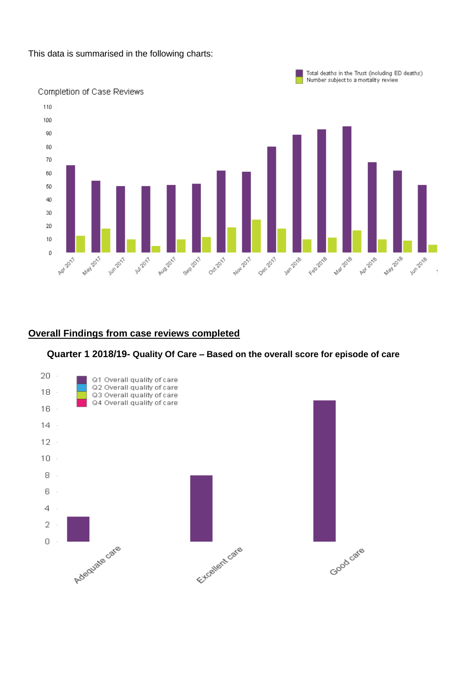This data is summarised in the following charts:



## **Overall Findings from case reviews completed**



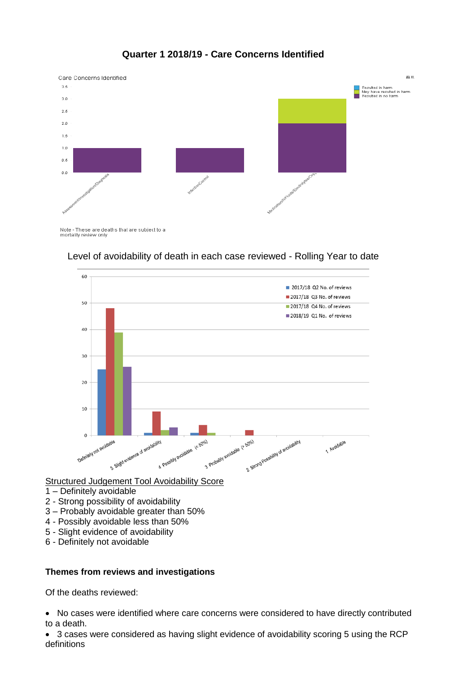

## **Quarter 1 2018/19 - Care Concerns Identified**

Note - These are deaths that are subject to a<br>mortality review only



## Level of avoidability of death in each case reviewed - Rolling Year to date

## Structured Judgement Tool Avoidability Score

- 1 Definitely avoidable
- 2 Strong possibility of avoidability
- 3 Probably avoidable greater than 50%
- 4 Possibly avoidable less than 50%
- 5 Slight evidence of avoidability
- 6 Definitely not avoidable

## **Themes from reviews and investigations**

Of the deaths reviewed:

 No cases were identified where care concerns were considered to have directly contributed to a death.

 3 cases were considered as having slight evidence of avoidability scoring 5 using the RCP definitions